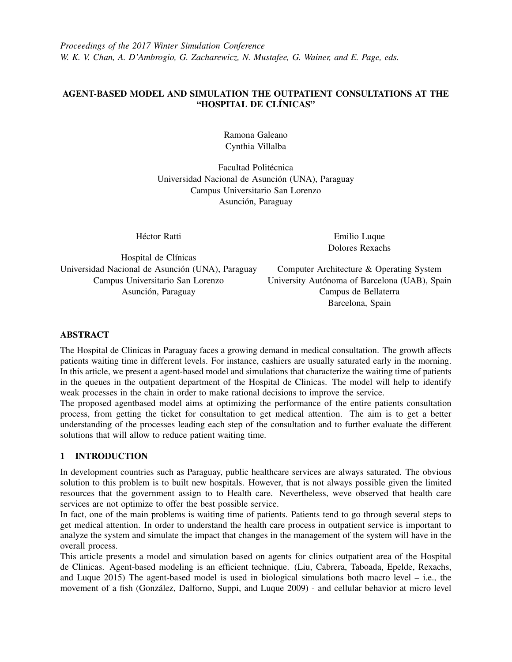*Proceedings of the 2017 Winter Simulation Conference W. K. V. Chan, A. D'Ambrogio, G. Zacharewicz, N. Mustafee, G. Wainer, and E. Page, eds.*

# AGENT-BASED MODEL AND SIMULATION THE OUTPATIENT CONSULTATIONS AT THE "HOSPITAL DE CLÍNICAS"

Ramona Galeano Cynthia Villalba

Facultad Politécnica Universidad Nacional de Asunción (UNA), Paraguay Campus Universitario San Lorenzo Asunción, Paraguay

Héctor Ratti

Emilio Luque Dolores Rexachs

Hospital de Clínicas Universidad Nacional de Asunción (UNA), Paraguay Campus Universitario San Lorenzo Asunción, Paraguay

Computer Architecture & Operating System University Autónoma of Barcelona (UAB), Spain Campus de Bellaterra Barcelona, Spain

## ABSTRACT

The Hospital de Clinicas in Paraguay faces a growing demand in medical consultation. The growth affects patients waiting time in different levels. For instance, cashiers are usually saturated early in the morning. In this article, we present a agent-based model and simulations that characterize the waiting time of patients in the queues in the outpatient department of the Hospital de Clinicas. The model will help to identify weak processes in the chain in order to make rational decisions to improve the service.

The proposed agentbased model aims at optimizing the performance of the entire patients consultation process, from getting the ticket for consultation to get medical attention. The aim is to get a better understanding of the processes leading each step of the consultation and to further evaluate the different solutions that will allow to reduce patient waiting time.

## 1 INTRODUCTION

In development countries such as Paraguay, public healthcare services are always saturated. The obvious solution to this problem is to built new hospitals. However, that is not always possible given the limited resources that the government assign to to Health care. Nevertheless, weve observed that health care services are not optimize to offer the best possible service.

In fact, one of the main problems is waiting time of patients. Patients tend to go through several steps to get medical attention. In order to understand the health care process in outpatient service is important to analyze the system and simulate the impact that changes in the management of the system will have in the overall process.

This article presents a model and simulation based on agents for clinics outpatient area of the Hospital de Clinicas. Agent-based modeling is an efficient technique. [\(Liu, Cabrera, Taboada, Epelde, Rexachs,](#page-9-0) [and Luque 2015\)](#page-9-0) The agent-based model is used in biological simulations both macro level – i.e., the movement of a fish (González, Dalforno, Suppi, and Luque 2009) - and cellular behavior at micro level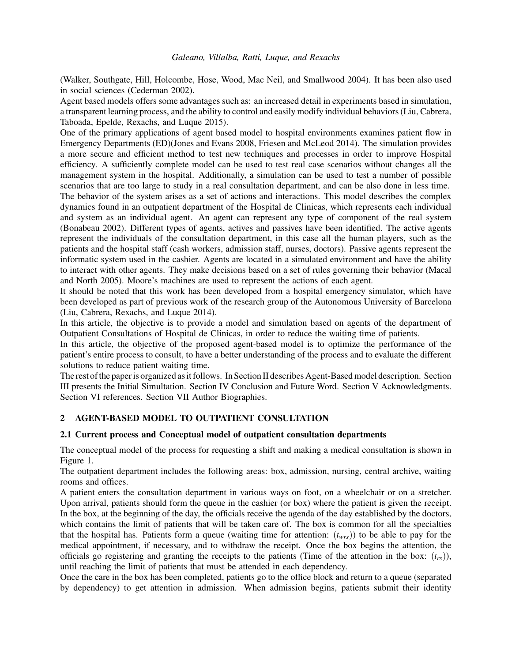[\(Walker, Southgate, Hill, Holcombe, Hose, Wood, Mac Neil, and Smallwood 2004\)](#page-9-2). It has been also used in social sciences [\(Cederman 2002\)](#page-9-3).

Agent based models offers some advantages such as: an increased detail in experiments based in simulation, a transparent learning process, and the ability to control and easily modify individual behaviors [\(Liu, Cabrera,](#page-9-0) [Taboada, Epelde, Rexachs, and Luque 2015\)](#page-9-0).

One of the primary applications of agent based model to hospital environments examines patient flow in Emergency Departments (ED)[\(Jones and Evans 2008,](#page-9-4) [Friesen and McLeod 2014\)](#page-9-5). The simulation provides a more secure and efficient method to test new techniques and processes in order to improve Hospital efficiency. A sufficiently complete model can be used to test real case scenarios without changes all the management system in the hospital. Additionally, a simulation can be used to test a number of possible scenarios that are too large to study in a real consultation department, and can be also done in less time. The behavior of the system arises as a set of actions and interactions. This model describes the complex dynamics found in an outpatient department of the Hospital de Clinicas, which represents each individual and system as an individual agent. An agent can represent any type of component of the real system [\(Bonabeau 2002\)](#page-9-6). Different types of agents, actives and passives have been identified. The active agents represent the individuals of the consultation department, in this case all the human players, such as the patients and the hospital staff (cash workers, admission staff, nurses, doctors). Passive agents represent the informatic system used in the cashier. Agents are located in a simulated environment and have the ability to interact with other agents. They make decisions based on a set of rules governing their behavior [\(Macal](#page-9-7) [and North 2005\)](#page-9-7). Moore's machines are used to represent the actions of each agent.

It should be noted that this work has been developed from a hospital emergency simulator, which have been developed as part of previous work of the research group of the Autonomous University of Barcelona [\(Liu, Cabrera, Rexachs, and Luque 2014\)](#page-9-8).

In this article, the objective is to provide a model and simulation based on agents of the department of Outpatient Consultations of Hospital de Clinicas, in order to reduce the waiting time of patients.

In this article, the objective of the proposed agent-based model is to optimize the performance of the patient's entire process to consult, to have a better understanding of the process and to evaluate the different solutions to reduce patient waiting time.

The rest of the paper is organized as it follows. In Section II describes Agent-Based model description. Section III presents the Initial Simultation. Section IV Conclusion and Future Word. Section V Acknowledgments. Section VI references. Section VII Author Biographies.

# 2 AGENT-BASED MODEL TO OUTPATIENT CONSULTATION

## 2.1 Current process and Conceptual model of outpatient consultation departments

The conceptual model of the process for requesting a shift and making a medical consultation is shown in Figure 1.

The outpatient department includes the following areas: box, admission, nursing, central archive, waiting rooms and offices.

A patient enters the consultation department in various ways on foot, on a wheelchair or on a stretcher. Upon arrival, patients should form the queue in the cashier (or box) where the patient is given the receipt. In the box, at the beginning of the day, the officials receive the agenda of the day established by the doctors, which contains the limit of patients that will be taken care of. The box is common for all the specialties that the hospital has. Patients form a queue (waiting time for attention: (*twrs*)) to be able to pay for the medical appointment, if necessary, and to withdraw the receipt. Once the box begins the attention, the officials go registering and granting the receipts to the patients (Time of the attention in the box:  $(t_{rs})$ ), until reaching the limit of patients that must be attended in each dependency.

Once the care in the box has been completed, patients go to the office block and return to a queue (separated by dependency) to get attention in admission. When admission begins, patients submit their identity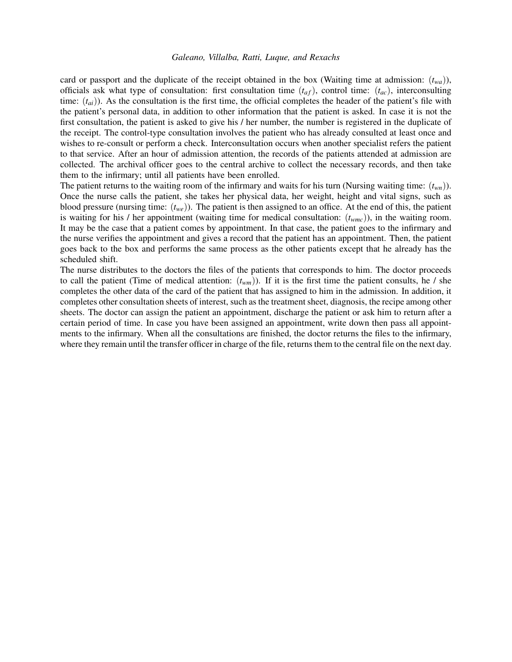card or passport and the duplicate of the receipt obtained in the box (Waiting time at admission:  $(t_{wa})$ ), officials ask what type of consultation: first consultation time  $(t_{af})$ , control time:  $(t_{ac})$ , interconsulting time:  $(t_{ai})$ ). As the consultation is the first time, the official completes the header of the patient's file with the patient's personal data, in addition to other information that the patient is asked. In case it is not the first consultation, the patient is asked to give his / her number, the number is registered in the duplicate of the receipt. The control-type consultation involves the patient who has already consulted at least once and wishes to re-consult or perform a check. Interconsultation occurs when another specialist refers the patient to that service. After an hour of admission attention, the records of the patients attended at admission are collected. The archival officer goes to the central archive to collect the necessary records, and then take them to the infirmary; until all patients have been enrolled.

The patient returns to the waiting room of the infirmary and waits for his turn (Nursing waiting time:  $(t_{wn})$ ). Once the nurse calls the patient, she takes her physical data, her weight, height and vital signs, such as blood pressure (nursing time: (*twe*)). The patient is then assigned to an office. At the end of this, the patient is waiting for his / her appointment (waiting time for medical consultation: (*twmc*)), in the waiting room. It may be the case that a patient comes by appointment. In that case, the patient goes to the infirmary and the nurse verifies the appointment and gives a record that the patient has an appointment. Then, the patient goes back to the box and performs the same process as the other patients except that he already has the scheduled shift.

The nurse distributes to the doctors the files of the patients that corresponds to him. The doctor proceeds to call the patient (Time of medical attention:  $(t_{wm})$ ). If it is the first time the patient consults, he / she completes the other data of the card of the patient that has assigned to him in the admission. In addition, it completes other consultation sheets of interest, such as the treatment sheet, diagnosis, the recipe among other sheets. The doctor can assign the patient an appointment, discharge the patient or ask him to return after a certain period of time. In case you have been assigned an appointment, write down then pass all appointments to the infirmary. When all the consultations are finished, the doctor returns the files to the infirmary, where they remain until the transfer officer in charge of the file, returns them to the central file on the next day.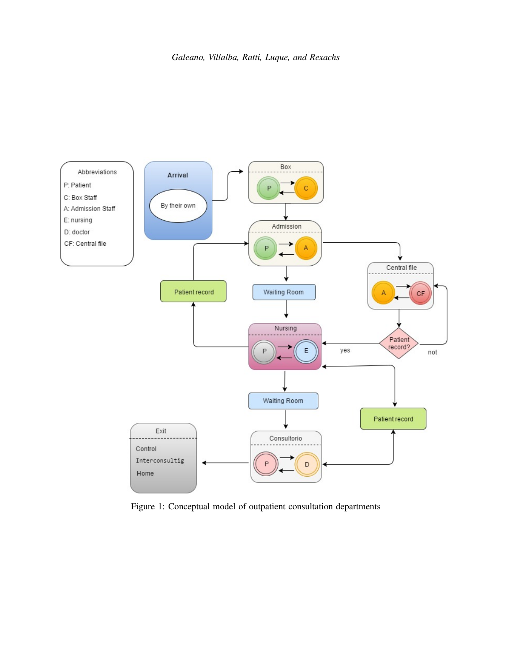

Figure 1: Conceptual model of outpatient consultation departments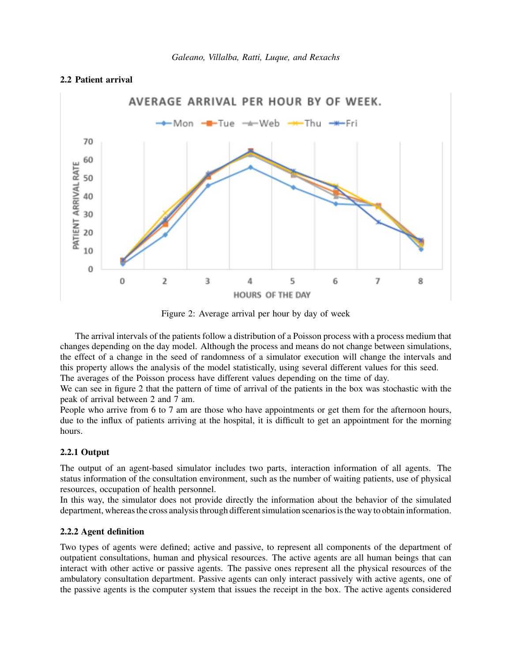## 2.2 Patient arrival



Figure 2: Average arrival per hour by day of week

The arrival intervals of the patients follow a distribution of a Poisson process with a process medium that changes depending on the day model. Although the process and means do not change between simulations, the effect of a change in the seed of randomness of a simulator execution will change the intervals and this property allows the analysis of the model statistically, using several different values for this seed. The averages of the Poisson process have different values depending on the time of day.

We can see in figure 2 that the pattern of time of arrival of the patients in the box was stochastic with the peak of arrival between 2 and 7 am.

People who arrive from 6 to 7 am are those who have appointments or get them for the afternoon hours, due to the influx of patients arriving at the hospital, it is difficult to get an appointment for the morning hours.

## 2.2.1 Output

The output of an agent-based simulator includes two parts, interaction information of all agents. The status information of the consultation environment, such as the number of waiting patients, use of physical resources, occupation of health personnel.

In this way, the simulator does not provide directly the information about the behavior of the simulated department, whereas the cross analysis through different simulation scenarios is the way to obtain information.

### 2.2.2 Agent definition

Two types of agents were defined; active and passive, to represent all components of the department of outpatient consultations, human and physical resources. The active agents are all human beings that can interact with other active or passive agents. The passive ones represent all the physical resources of the ambulatory consultation department. Passive agents can only interact passively with active agents, one of the passive agents is the computer system that issues the receipt in the box. The active agents considered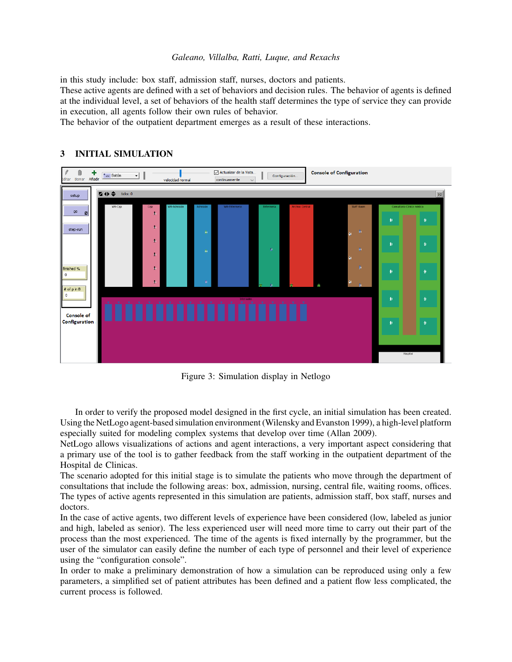in this study include: box staff, admission staff, nurses, doctors and patients.

These active agents are defined with a set of behaviors and decision rules. The behavior of agents is defined at the individual level, a set of behaviors of the health staff determines the type of service they can provide in execution, all agents follow their own rules of behavior.

The behavior of the outpatient department emerges as a result of these interactions.



# 3 INITIAL SIMULATION

Figure 3: Simulation display in Netlogo

In order to verify the proposed model designed in the first cycle, an initial simulation has been created. Using the NetLogo agent-based simulation environment [\(Wilensky and Evanston 1999\)](#page-9-9), a high-level platform especially suited for modeling complex systems that develop over time [\(Allan 2009\)](#page-9-10).

NetLogo allows visualizations of actions and agent interactions, a very important aspect considering that a primary use of the tool is to gather feedback from the staff working in the outpatient department of the Hospital de Clinicas.

The scenario adopted for this initial stage is to simulate the patients who move through the department of consultations that include the following areas: box, admission, nursing, central file, waiting rooms, offices. The types of active agents represented in this simulation are patients, admission staff, box staff, nurses and doctors.

In the case of active agents, two different levels of experience have been considered (low, labeled as junior and high, labeled as senior). The less experienced user will need more time to carry out their part of the process than the most experienced. The time of the agents is fixed internally by the programmer, but the user of the simulator can easily define the number of each type of personnel and their level of experience using the "configuration console".

In order to make a preliminary demonstration of how a simulation can be reproduced using only a few parameters, a simplified set of patient attributes has been defined and a patient flow less complicated, the current process is followed.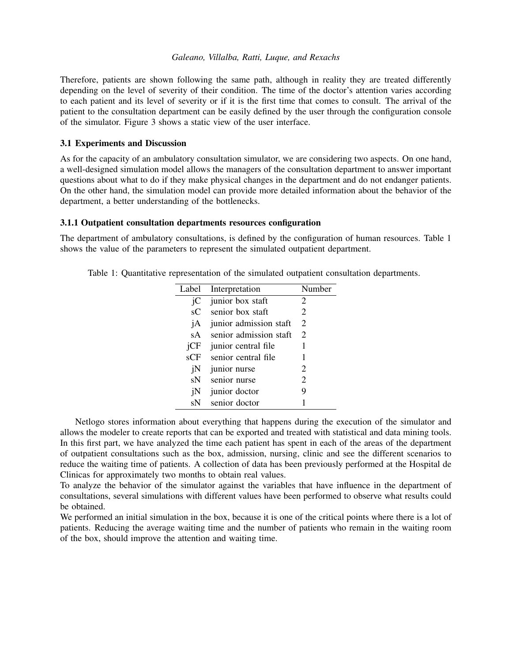Therefore, patients are shown following the same path, although in reality they are treated differently depending on the level of severity of their condition. The time of the doctor's attention varies according to each patient and its level of severity or if it is the first time that comes to consult. The arrival of the patient to the consultation department can be easily defined by the user through the configuration console of the simulator. Figure 3 shows a static view of the user interface.

### 3.1 Experiments and Discussion

As for the capacity of an ambulatory consultation simulator, we are considering two aspects. On one hand, a well-designed simulation model allows the managers of the consultation department to answer important questions about what to do if they make physical changes in the department and do not endanger patients. On the other hand, the simulation model can provide more detailed information about the behavior of the department, a better understanding of the bottlenecks.

### 3.1.1 Outpatient consultation departments resources configuration

The department of ambulatory consultations, is defined by the configuration of human resources. Table 1 shows the value of the parameters to represent the simulated outpatient department.

| Label          | Interpretation         | Number |
|----------------|------------------------|--------|
| iC             | junior box staft       | 2      |
| $\mathbf{s}$ C | senior box staft       | 2      |
| jA             | junior admission staft | 2      |
| sA             | senior admission staft | 2      |
| iCF            | junior central file    | 1      |
| sCF            | senior central file    | 1      |
| jN             | junior nurse           | 2      |
| sN             | senior nurse           | 2      |
| jN             | junior doctor          | 9      |
| sN             | senior doctor          |        |

Table 1: Quantitative representation of the simulated outpatient consultation departments.

Netlogo stores information about everything that happens during the execution of the simulator and allows the modeler to create reports that can be exported and treated with statistical and data mining tools. In this first part, we have analyzed the time each patient has spent in each of the areas of the department of outpatient consultations such as the box, admission, nursing, clinic and see the different scenarios to reduce the waiting time of patients. A collection of data has been previously performed at the Hospital de Clinicas for approximately two months to obtain real values.

To analyze the behavior of the simulator against the variables that have influence in the department of consultations, several simulations with different values have been performed to observe what results could be obtained.

We performed an initial simulation in the box, because it is one of the critical points where there is a lot of patients. Reducing the average waiting time and the number of patients who remain in the waiting room of the box, should improve the attention and waiting time.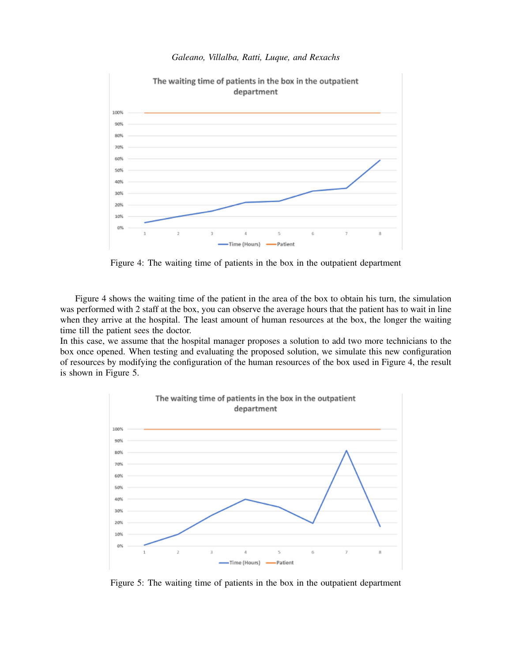

Figure 4: The waiting time of patients in the box in the outpatient department

Figure 4 shows the waiting time of the patient in the area of the box to obtain his turn, the simulation was performed with 2 staff at the box, you can observe the average hours that the patient has to wait in line when they arrive at the hospital. The least amount of human resources at the box, the longer the waiting time till the patient sees the doctor.

In this case, we assume that the hospital manager proposes a solution to add two more technicians to the box once opened. When testing and evaluating the proposed solution, we simulate this new configuration of resources by modifying the configuration of the human resources of the box used in Figure 4, the result is shown in Figure 5.



Figure 5: The waiting time of patients in the box in the outpatient department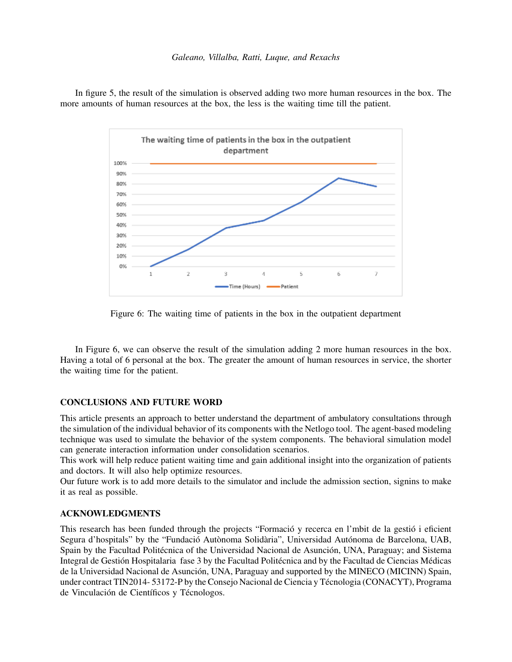In figure 5, the result of the simulation is observed adding two more human resources in the box. The more amounts of human resources at the box, the less is the waiting time till the patient.



Figure 6: The waiting time of patients in the box in the outpatient department

In Figure 6, we can observe the result of the simulation adding 2 more human resources in the box. Having a total of 6 personal at the box. The greater the amount of human resources in service, the shorter the waiting time for the patient.

### CONCLUSIONS AND FUTURE WORD

This article presents an approach to better understand the department of ambulatory consultations through the simulation of the individual behavior of its components with the Netlogo tool. The agent-based modeling technique was used to simulate the behavior of the system components. The behavioral simulation model can generate interaction information under consolidation scenarios.

This work will help reduce patient waiting time and gain additional insight into the organization of patients and doctors. It will also help optimize resources.

Our future work is to add more details to the simulator and include the admission section, signins to make it as real as possible.

### ACKNOWLEDGMENTS

This research has been funded through the projects "Formació y recerca en l'mbit de la gestió i eficient Segura d'hospitals" by the "Fundació Autònoma Solidària", Universidad Autónoma de Barcelona, UAB, Spain by the Facultad Politécnica of the Universidad Nacional de Asunción, UNA, Paraguay; and Sistema Integral de Gestión Hospitalaria fase 3 by the Facultad Politécnica and by the Facultad de Ciencias Médicas de la Universidad Nacional de Asunción, UNA, Paraguay and supported by the MINECO (MICINN) Spain, under contract TIN2014- 53172-P by the Consejo Nacional de Ciencia y Técnologia (CONACYT), Programa de Vinculación de Científicos y Técnologos.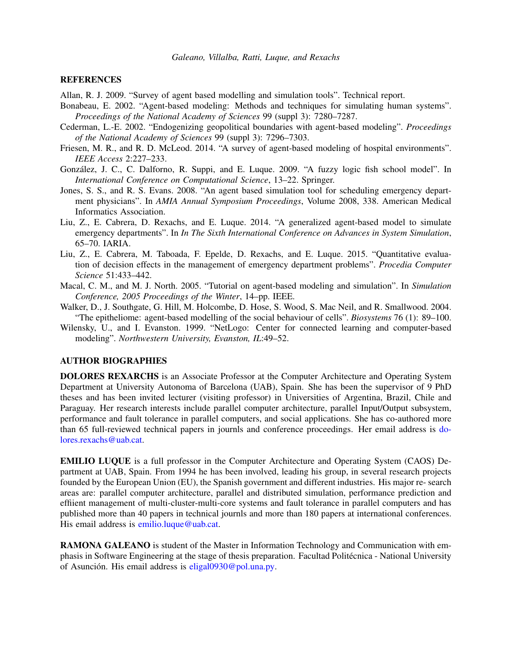### **REFERENCES**

- <span id="page-9-10"></span>Allan, R. J. 2009. "Survey of agent based modelling and simulation tools". Technical report.
- <span id="page-9-6"></span>Bonabeau, E. 2002. "Agent-based modeling: Methods and techniques for simulating human systems". *Proceedings of the National Academy of Sciences* 99 (suppl 3): 7280–7287.
- <span id="page-9-3"></span>Cederman, L.-E. 2002. "Endogenizing geopolitical boundaries with agent-based modeling". *Proceedings of the National Academy of Sciences* 99 (suppl 3): 7296–7303.
- <span id="page-9-5"></span>Friesen, M. R., and R. D. McLeod. 2014. "A survey of agent-based modeling of hospital environments". *IEEE Access* 2:227–233.
- <span id="page-9-1"></span>González, J. C., C. Dalforno, R. Suppi, and E. Luque. 2009. "A fuzzy logic fish school model". In *International Conference on Computational Science*, 13–22. Springer.
- <span id="page-9-4"></span>Jones, S. S., and R. S. Evans. 2008. "An agent based simulation tool for scheduling emergency department physicians". In *AMIA Annual Symposium Proceedings*, Volume 2008, 338. American Medical Informatics Association.
- <span id="page-9-8"></span>Liu, Z., E. Cabrera, D. Rexachs, and E. Luque. 2014. "A generalized agent-based model to simulate emergency departments". In *In The Sixth International Conference on Advances in System Simulation*, 65–70. IARIA.
- <span id="page-9-0"></span>Liu, Z., E. Cabrera, M. Taboada, F. Epelde, D. Rexachs, and E. Luque. 2015. "Quantitative evaluation of decision effects in the management of emergency department problems". *Procedia Computer Science* 51:433–442.
- <span id="page-9-7"></span>Macal, C. M., and M. J. North. 2005. "Tutorial on agent-based modeling and simulation". In *Simulation Conference, 2005 Proceedings of the Winter*, 14–pp. IEEE.
- <span id="page-9-2"></span>Walker, D., J. Southgate, G. Hill, M. Holcombe, D. Hose, S. Wood, S. Mac Neil, and R. Smallwood. 2004. "The epitheliome: agent-based modelling of the social behaviour of cells". *Biosystems* 76 (1): 89–100.
- <span id="page-9-9"></span>Wilensky, U., and I. Evanston. 1999. "NetLogo: Center for connected learning and computer-based modeling". *Northwestern University, Evanston, IL*:49–52.

# AUTHOR BIOGRAPHIES

DOLORES REXARCHS is an Associate Professor at the Computer Architecture and Operating System Department at University Autonoma of Barcelona (UAB), Spain. She has been the supervisor of 9 PhD theses and has been invited lecturer (visiting professor) in Universities of Argentina, Brazil, Chile and Paraguay. Her research interests include parallel computer architecture, parallel Input/Output subsystem, performance and fault tolerance in parallel computers, and social applications. She has co-authored more than 65 full-reviewed technical papers in journls and conference proceedings. Her email address is [do](mailto://dolores.rexachs@uab.cat)[lores.rexachs@uab.cat.](mailto://dolores.rexachs@uab.cat)

EMILIO LUQUE is a full professor in the Computer Architecture and Operating System (CAOS) Department at UAB, Spain. From 1994 he has been involved, leading his group, in several research projects founded by the European Union (EU), the Spanish government and different industries. His major re- search areas are: parallel computer architecture, parallel and distributed simulation, performance prediction and effiient management of multi-cluster-multi-core systems and fault tolerance in parallel computers and has published more than 40 papers in technical journls and more than 180 papers at international conferences. His email address is [emilio.luque@uab.cat.](mailto://emilio.luque@uab.cat)

RAMONA GALEANO is student of the Master in Information Technology and Communication with emphasis in Software Engineering at the stage of thesis preparation. Facultad Politécnica - National University of Asunción. His email address is  $\frac{eligal0930@pol.una.py.$  $\frac{eligal0930@pol.una.py.$